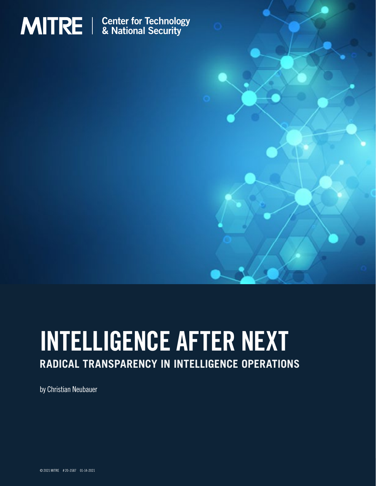

# INTELLIGENCE AFTER NEXT

# **RADICAL TRANSPARENCY IN INTELLIGENCE OPERATIONS**

by Christian Neubauer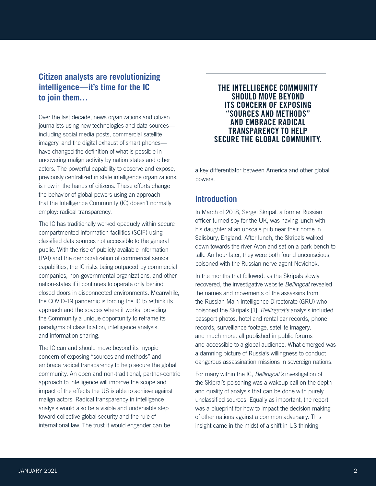# **Citizen analysts are revolutionizing intelligence—it's time for the IC to join them…**

Over the last decade, news organizations and citizen journalists using new technologies and data sources including social media posts, commercial satellite imagery, and the digital exhaust of smart phones have changed the definition of what is possible in uncovering malign activity by nation states and other actors. The powerful capability to observe and expose, previously centralized in state intelligence organizations, is now in the hands of citizens. These efforts change the behavior of global powers using an approach that the Intelligence Community (IC) doesn't normally employ: radical transparency.

The IC has traditionally worked opaquely within secure compartmented information facilities (SCIF) using classified data sources not accessible to the general public. With the rise of publicly available information (PAI) and the democratization of commercial sensor capabilities, the IC risks being outpaced by commercial companies, non-governmental organizations, and other nation-states if it continues to operate only behind closed doors in disconnected environments. Meanwhile, the COVID-19 pandemic is forcing the IC to rethink its approach and the spaces where it works, providing the Community a unique opportunity to reframe its paradigms of classification, intelligence analysis, and information sharing.

The IC can and should move beyond its myopic concern of exposing "sources and methods" and embrace radical transparency to help secure the global community. An open and non-traditional, partner-centric approach to intelligence will improve the scope and impact of the effects the US is able to achieve against malign actors. Radical transparency in intelligence analysis would also be a visible and undeniable step toward collective global security and the rule of international law. The trust it would engender can be

# THE INTELLIGENCE COMMUNITY SHOULD MOVE BEYOND ITS CONCERN OF EXPOSING "SOURCES AND METHODS" AND EMBRACE RADICAL TRANSPARENCY TO HELP SECURE THE GLOBAL COMMUNITY.

a key differentiator between America and other global powers.

# **Introduction**

In March of 2018, Sergei Skripal, a former Russian officer turned spy for the UK, was having lunch with his daughter at an upscale pub near their home in Salisbury, England. After lunch, the Skripals walked down towards the river Avon and sat on a park bench to talk. An hour later, they were both found unconscious, poisoned with the Russian nerve agent Novichok.

In the months that followed, as the Skripals slowly recovered, the investigative website *Bellingcat* revealed the names and movements of the assassins from the Russian Main Intelligence Directorate (GRU) who poisoned the Skripals [1]. *Bellingcat's* analysis included passport photos, hotel and rental car records, phone records, surveillance footage, satellite imagery, and much more, all published in public forums and accessible to a global audience. What emerged was a damning picture of Russia's willingness to conduct dangerous assassination missions in sovereign nations.

For many within the IC, *Bellingcat's* investigation of the Skipral's poisoning was a wakeup call on the depth and quality of analysis that can be done with purely unclassified sources. Equally as important, the report was a blueprint for how to impact the decision making of other nations against a common adversary. This insight came in the midst of a shift in US thinking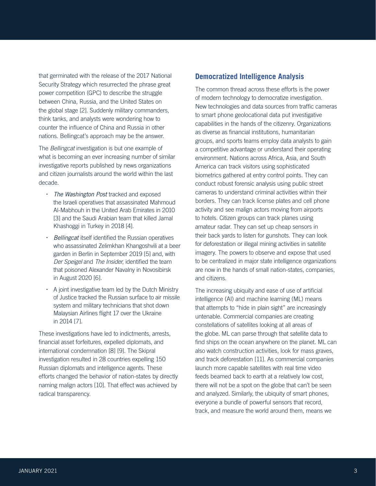that germinated with the release of the 2017 National Security Strategy which resurrected the phrase great power competition (GPC) to describe the struggle between China, Russia, and the United States on the global stage [2]. Suddenly military commanders, think tanks, and analysts were wondering how to counter the influence of China and Russia in other nations. Bellingcat's approach may be the answer.

The *Bellingcat* investigation is but one example of what is becoming an ever increasing number of similar investigative reports published by news organizations and citizen journalists around the world within the last decade.

- *The Washington Post* tracked and exposed the Israeli operatives that assassinated Mahmoud Al-Mabhouh in the United Arab Emirates in 2010 [3] and the Saudi Arabian team that killed Jamal Khashoggi in Turkey in 2018 [4].
- *Bellingcat* itself identified the Russian operatives who assassinated Zelimkhan Khangoshvili at a beer garden in Berlin in September 2019 [5] and, with *Der Speigel* and *The Insider*, identified the team that poisoned Alexander Navalny in Novosibirsk in August 2020 [6].
- A joint investigative team led by the Dutch Ministry of Justice tracked the Russian surface to air missile system and military technicians that shot down Malaysian Airlines flight 17 over the Ukraine in 2014 [7].

These investigations have led to indictments, arrests, financial asset forfeitures, expelled diplomats, and international condemnation [8] [9]. The Skipral investigation resulted in 28 countries expelling 150 Russian diplomats and intelligence agents. These efforts changed the behavior of nation-states by directly naming malign actors [10]. That effect was achieved by radical transparency.

# **Democratized Intelligence Analysis**

The common thread across these efforts is the power of modern technology to democratize investigation. New technologies and data sources from traffic cameras to smart phone geolocational data put investigative capabilities in the hands of the citizenry. Organizations as diverse as financial institutions, humanitarian groups, and sports teams employ data analysts to gain a competitive advantage or understand their operating environment. Nations across Africa, Asia, and South America can track visitors using sophisticated biometrics gathered at entry control points. They can conduct robust forensic analysis using public street cameras to understand criminal activities within their borders. They can track license plates and cell phone activity and see malign actors moving from airports to hotels. Citizen groups can track planes using amateur radar. They can set up cheap sensors in their back yards to listen for gunshots. They can look for deforestation or illegal mining activities in satellite imagery. The powers to observe and expose that used to be centralized in major state intelligence organizations are now in the hands of small nation-states, companies, and citizens.

The increasing ubiquity and ease of use of artificial intelligence (AI) and machine learning (ML) means that attempts to "hide in plain sight" are increasingly untenable. Commercial companies are creating constellations of satellites looking at all areas of the globe. ML can parse through that satellite data to find ships on the ocean anywhere on the planet. ML can also watch construction activities, look for mass graves, and track deforestation [11]. As commercial companies launch more capable satellites with real time video feeds beamed back to earth at a relatively low cost, there will not be a spot on the globe that can't be seen and analyzed. Similarly, the ubiquity of smart phones, everyone a bundle of powerful sensors that record, track, and measure the world around them, means we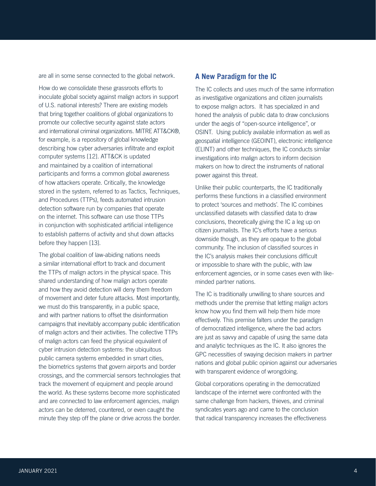are all in some sense connected to the global network.

How do we consolidate these grassroots efforts to inoculate global society against malign actors in support of U.S. national interests? There are existing models that bring together coalitions of global organizations to promote our collective security against state actors and international criminal organizations. MITRE ATT&CK®, for example, is a repository of global knowledge describing how cyber adversaries infiltrate and exploit computer systems [12]. ATT&CK is updated and maintained by a coalition of international participants and forms a common global awareness of how attackers operate. Critically, the knowledge stored in the system, referred to as Tactics, Techniques, and Procedures (TTPs), feeds automated intrusion detection software run by companies that operate on the internet. This software can use those TTPs in conjunction with sophisticated artificial intelligence to establish patterns of activity and shut down attacks before they happen [13].

The global coalition of law-abiding nations needs a similar international effort to track and document the TTPs of malign actors in the physical space. This shared understanding of how malign actors operate and how they avoid detection will deny them freedom of movement and deter future attacks. Most importantly, we must do this transparently, in a public space, and with partner nations to offset the disinformation campaigns that inevitably accompany public identification of malign actors and their activities. The collective TTPs of malign actors can feed the physical equivalent of cyber intrusion detection systems: the ubiquitous public camera systems embedded in smart cities, the biometrics systems that govern airports and border crossings, and the commercial sensors technologies that track the movement of equipment and people around the world. As these systems become more sophisticated and are connected to law enforcement agencies, malign actors can be deterred, countered, or even caught the minute they step off the plane or drive across the border.

#### **A New Paradigm for the IC**

The IC collects and uses much of the same information as investigative organizations and citizen journalists to expose malign actors. It has specialized in and honed the analysis of public data to draw conclusions under the aegis of "open-source intelligence", or OSINT. Using publicly available information as well as geospatial intelligence (GEOINT), electronic intelligence (ELINT) and other techniques, the IC conducts similar investigations into malign actors to inform decision makers on how to direct the instruments of national power against this threat.

Unlike their public counterparts, the IC traditionally performs these functions in a classified environment to protect 'sources and methods'. The IC combines unclassified datasets with classified data to draw conclusions, theoretically giving the IC a leg up on citizen journalists. The IC's efforts have a serious downside though, as they are opaque to the global community. The inclusion of classified sources in the IC's analysis makes their conclusions difficult or impossible to share with the public, with law enforcement agencies, or in some cases even with likeminded partner nations.

The IC is traditionally unwilling to share sources and methods under the premise that letting malign actors know how you find them will help them hide more effectively. This premise falters under the paradigm of democratized intelligence, where the bad actors are just as savvy and capable of using the same data and analytic techniques as the IC. It also ignores the GPC necessities of swaying decision makers in partner nations and global public opinion against our adversaries with transparent evidence of wrongdoing.

Global corporations operating in the democratized landscape of the internet were confronted with the same challenge from hackers, thieves, and criminal syndicates years ago and came to the conclusion that radical transparency increases the effectiveness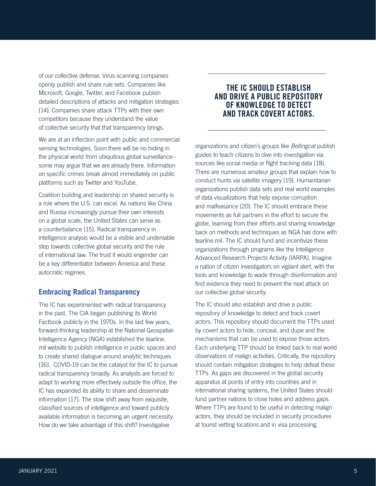of our collective defense. Virus scanning companies openly publish and share rule sets. Companies like Microsoft, Google, Twitter, and Facebook publish detailed descriptions of attacks and mitigation strategies [14]. Companies share attack TTPs with their own competitors because they understand the value of collective security that that transparency brings.

We are at an inflection point with public and commercial sensing technologies. Soon there will be no hiding in the physical world from ubiquitous global surveillance– some may argue that we are already there. Information on specific crimes break almost immediately on public platforms such as Twitter and YouTube.

Coalition building and leadership on shared security is a role where the U.S. can excel. As nations like China and Russia increasingly pursue their own interests on a global scale, the United States can serve as a counterbalance [15]. Radical transparency in intelligence analysis would be a visible and undeniable step towards collective global security and the rule of international law. The trust it would engender can be a key differentiator between America and these autocratic regimes.

#### **Embracing Radical Transparency**

The IC has experimented with radical transparency in the past. The CIA began publishing its World Factbook publicly in the 1970s. In the last few years, forward-thinking leadership at the National Geospatial-Intelligence Agency (NGA) established the tearline. mil website to publish intelligence in public spaces and to create shared dialogue around analytic techniques [16]. COVID-19 can be the catalyst for the IC to pursue radical transparency broadly. As analysts are forced to adapt to working more effectively outside the office, the IC has expanded its ability to share and disseminate information [17]. The slow shift away from exquisite, classified sources of intelligence and toward publicly available information is becoming an urgent necessity. How do we take advantage of this shift? Investigative

# THE IC SHOULD ESTABLISH AND DRIVE A PUBLIC REPOSITORY OF KNOWLEDGE TO DETECT AND TRACK COVERT ACTORS.

organizations and citizen's groups like *Bellingcat* publish guides to teach citizens to dive into investigation via sources like social media or flight tracking data [18]. There are numerous amateur groups that explain how to conduct hunts via satellite imagery [19]. Humanitarian organizations publish data sets and real world examples of data visualizations that help expose corruption and malfeasance [20]. The IC should embrace these movements as full partners in the effort to secure the globe, learning from their efforts and sharing knowledge back on methods and techniques as NGA has done with tearline.mil. The IC should fund and incentivize these organizations through programs like the Intelligence Advanced Research Projects Activity (IARPA). Imagine a nation of citizen investigators on vigilant alert, with the tools and knowledge to wade through disinformation and find evidence they need to prevent the next attack on our collective global security.

The IC should also establish and drive a public repository of knowledge to detect and track covert actors. This repository should document the TTPs used by covert actors to hide, conceal, and dupe and the mechanisms that can be used to expose those actors. Each underlying TTP should be linked back to real world observations of malign activities. Critically, the repository should contain mitigation strategies to help defeat these TTPs. As gaps are discovered in the global security apparatus at points of entry into countries and in international sharing systems, the United States should fund partner nations to close holes and address gaps. Where TTPs are found to be useful in detecting malign actors, they should be included in security procedures at tourist vetting locations and in visa processing.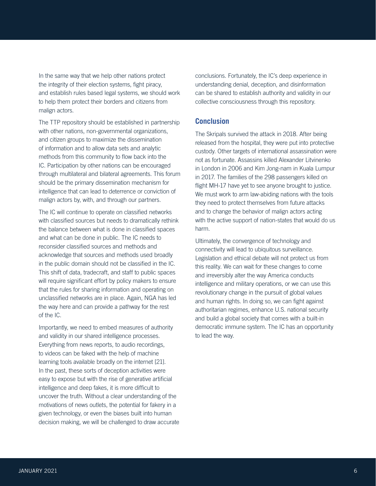In the same way that we help other nations protect the integrity of their election systems, fight piracy, and establish rules based legal systems, we should work to help them protect their borders and citizens from malign actors.

The TTP repository should be established in partnership with other nations, non-governmental organizations, and citizen groups to maximize the dissemination of information and to allow data sets and analytic methods from this community to flow back into the IC. Participation by other nations can be encouraged through multilateral and bilateral agreements. This forum should be the primary dissemination mechanism for intelligence that can lead to deterrence or conviction of malign actors by, with, and through our partners.

The IC will continue to operate on classified networks with classified sources but needs to dramatically rethink the balance between what is done in classified spaces and what can be done in public. The IC needs to reconsider classified sources and methods and acknowledge that sources and methods used broadly in the public domain should not be classified in the IC. This shift of data, tradecraft, and staff to public spaces will require significant effort by policy makers to ensure that the rules for sharing information and operating on unclassified networks are in place. Again, NGA has led the way here and can provide a pathway for the rest of the IC.

Importantly, we need to embed measures of authority and validity in our shared intelligence processes. Everything from news reports, to audio recordings, to videos can be faked with the help of machine learning tools available broadly on the internet [21]. In the past, these sorts of deception activities were easy to expose but with the rise of generative artificial intelligence and deep fakes, it is more difficult to uncover the truth. Without a clear understanding of the motivations of news outlets, the potential for fakery in a given technology, or even the biases built into human decision making, we will be challenged to draw accurate conclusions. Fortunately, the IC's deep experience in understanding denial, deception, and disinformation can be shared to establish authority and validity in our collective consciousness through this repository.

### **Conclusion**

The Skripals survived the attack in 2018. After being released from the hospital, they were put into protective custody. Other targets of international assassination were not as fortunate. Assassins killed Alexander Litvinenko in London in 2006 and Kim Jong-nam in Kuala Lumpur in 2017. The families of the 298 passengers killed on flight MH-17 have yet to see anyone brought to justice. We must work to arm law-abiding nations with the tools they need to protect themselves from future attacks and to change the behavior of malign actors acting with the active support of nation-states that would do us harm.

Ultimately, the convergence of technology and connectivity will lead to ubiquitous surveillance. Legislation and ethical debate will not protect us from this reality. We can wait for these changes to come and irreversibly alter the way America conducts intelligence and military operations, or we can use this revolutionary change in the pursuit of global values and human rights. In doing so, we can fight against authoritarian regimes, enhance U.S. national security and build a global society that comes with a built-in democratic immune system. The IC has an opportunity to lead the way.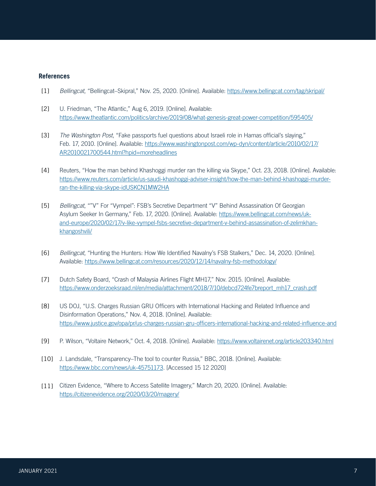#### **References**

- [1] *Bellingcat*, "Bellingcat–Skipral," Nov. 25, 2020. [Online]. Available:<https://www.bellingcat.com/tag/skripal/>
- [2] U. Friedman, "The Atlantic," Aug 6, 2019. [Online]. Available: <https://www.theatlantic.com/politics/archive/2019/08/what-genesis-great-power-competition/595405/>
- [3] *The Washington Post*, "Fake passports fuel questions about Israeli role in Hamas official's slaying," [Feb. 17, 2010. \[Online\]. Available: https://www.washingtonpost.com/wp-dyn/content/article/2010/02/17/](https://www.washingtonpost.com/wp-dyn/content/article/2010/02/17/AR2010021700544.html?hpid=moreheadlines) AR2010021700544.html?hpid=moreheadlines
- [4] Reuters, "How the man behind Khashoggi murder ran the killing via Skype," Oct. 23, 2018. [Online]. Available: [https://www.reuters.com/article/us-saudi-khashoggi-adviser-insight/how-the-man-behind-khashoggi-murder](https://www.reuters.com/article/us-saudi-khashoggi-adviser-insight/how-the-man-behind-khashoggi-murder-ran-the-killing-via-skype-idUSKCN1MW2HA)ran-the-killing-via-skype-idUSKCN1MW2HA
- [5] *Bellingcat*, ""V" For "Vympel": FSB's Secretive Department "V" Behind Assassination Of Georgian Asylum Seeker In Germany," Feb. 17, 2020. [Online]. Available: https://www.bellingcat.com/news/uk[and-europe/2020/02/17/v-like-vympel-fsbs-secretive-department-v-behind-assassination-of-zelimkhan](https://www.bellingcat.com/news/uk-and-europe/2020/02/17/v-like-vympel-fsbs-secretive-department-v-behind-assassination-of-zelimkhan-khangoshvili/)khangoshvili/
- [6] *Bellingcat*, "Hunting the Hunters: How We Identified Navalny's FSB Stalkers," Dec. 14, 2020. [Online]. Available:<https://www.bellingcat.com/resources/2020/12/14/navalny-fsb-methodology/>
- [7] Dutch Safety Board, "Crash of Malaysia Airlines Flight MH17," Nov. 2015. [Online]. Available: [https://www.onderzoeksraad.nl/en/media/attachment/2018/7/10/debcd724fe7breport\\_mh17\\_crash.pdf](https://www.onderzoeksraad.nl/en/media/attachment/2018/7/10/debcd724fe7breport_mh17_crash.pdf)
- [8] US DOJ, "U.S. Charges Russian GRU Officers with International Hacking and Related Influence and Disinformation Operations," Nov. 4, 2018. [Online]. Available: <https://www.justice.gov/opa/pr/us-charges-russian-gru-officers-international-hacking-and-related-influence-and>
- [9] P. Wilson, "Voltaire Network," Oct. 4, 2018. [Online]. Available:<https://www.voltairenet.org/article203340.html>
- [10] J. Landsdale, "Transparency–The tool to counter Russia," BBC, 2018. [Online]. Available: [https://www.bbc.com/news/uk-45751173.](https://www.bbc.com/news/uk-45751173) [Accessed 15 12 2020]
- [11] Citizen Evidence, "Where to Access Satellite Imagery," March 20, 2020. [Online]. Available: <https://citizenevidence.org/2020/03/20/magery/>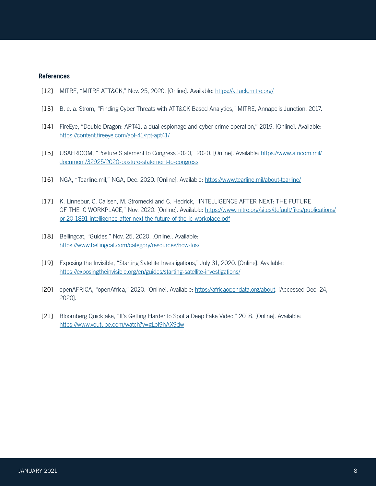#### **References**

- [12] MITRE, "MITRE ATT&CK," Nov. 25, 2020. [Online]. Available: [https://attack.mitre.org/](https://attack.mitre.org)
- [13] B. e. a. Strom, "Finding Cyber Threats with ATT&CK Based Analytics," MITRE, Annapolis Junction, 2017.
- [14] FireEye, "Double Dragon: APT41, a dual espionage and cyber crime operation," 2019. [Online]. Available: <https://content.fireeye.com/apt-41/rpt-apt41/>
- [15] [USAFRICOM, "Posture Statement to Congress 2020," 2020. \[Online\]. Available: https://www.africom.mil/](https://www.africom.mil/document/32925/2020-posture-statement-to-congress) document/32925/2020-posture-statement-to-congress
- [16] NGA, "Tearline.mil," NGA, Dec. 2020. [Online]. Available:<https://www.tearline.mil/about-tearline/>
- [17] K. Linnebur, C. Callsen, M. Stromecki and C. Hedrick, "INTELLIGENCE AFTER NEXT: THE FUTURE [OF THE IC WORKPLACE," Nov. 2020. \[Online\]. Available: https://www.mitre.org/sites/default/files/publications/](https://www.mitre.org/sites/default/files/publications/pr-20-1891-intelligence-after-next-the-future-of-the-ic-workplace.pdf) pr-20-1891-intelligence-after-next-the-future-of-the-ic-workplace.pdf
- [18] Bellingcat, "Guides," Nov. 25, 2020. [Online]. Available: <https://www.bellingcat.com/category/resources/how-tos/>
- [19] Exposing the Invisible, "Starting Satellite Investigations," July 31, 2020. [Online]. Available: <https://exposingtheinvisible.org/en/guides/starting-satellite-investigations/>
- [20] openAFRICA, "openAfrica," 2020. [Online]. Available:<https://africaopendata.org/about>. [Accessed Dec. 24, 2020].
- [21] Bloomberg Quicktake, "It's Getting Harder to Spot a Deep Fake Video," 2018. [Online]. Available: <https://www.youtube.com/watch?v=gLoI9hAX9dw>